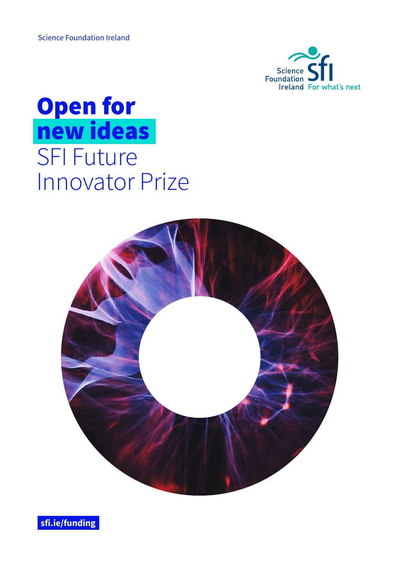Science Foundation Ireland



# Open for new ideas SFI Future Innovator Prize



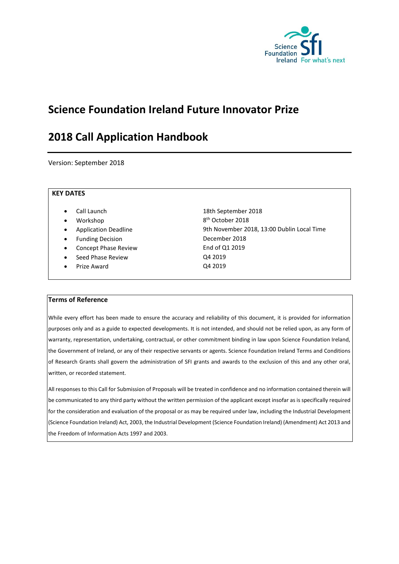

# **Science Foundation Ireland Future Innovator Prize**

# **2018 Call Application Handbook**

Version: September 2018

#### **KEY DATES**

- 
- Workshop
- 
- 
- Concept Phase Review **End of Q1 2019**
- Seed Phase Review Q4 2019
- Prize Award Q4 2019

• Call Launch 18th September 2018 8<sup>th</sup> October 2018 Application Deadline **19th November 2018, 13:00 Dublin Local Time** Funding Decision **December 2018** 

#### **Terms of Reference**

While every effort has been made to ensure the accuracy and reliability of this document, it is provided for information purposes only and as a guide to expected developments. It is not intended, and should not be relied upon, as any form of warranty, representation, undertaking, contractual, or other commitment binding in law upon Science Foundation Ireland, the Government of Ireland, or any of their respective servants or agents. Science Foundation Ireland Terms and Conditions of Research Grants shall govern the administration of SFI grants and awards to the exclusion of this and any other oral, written, or recorded statement.

All responses to this Call for Submission of Proposals will be treated in confidence and no information contained therein will be communicated to any third party without the written permission of the applicant except insofar as is specifically required for the consideration and evaluation of the proposal or as may be required under law, including the Industrial Development (Science Foundation Ireland) Act, 2003, the Industrial Development (Science Foundation Ireland) (Amendment) Act 2013 and the Freedom of Information Acts 1997 and 2003.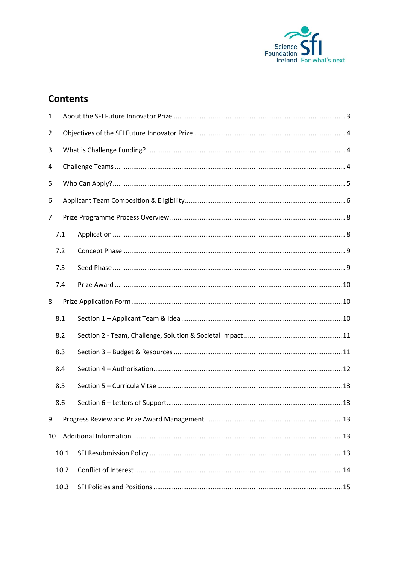

# **Contents**

| 1  |      |  |  |  |  |  |
|----|------|--|--|--|--|--|
| 2  |      |  |  |  |  |  |
| 3  |      |  |  |  |  |  |
| 4  |      |  |  |  |  |  |
| 5  |      |  |  |  |  |  |
| 6  |      |  |  |  |  |  |
| 7  |      |  |  |  |  |  |
|    | 7.1  |  |  |  |  |  |
|    | 7.2  |  |  |  |  |  |
|    | 7.3  |  |  |  |  |  |
|    | 7.4  |  |  |  |  |  |
| 8  |      |  |  |  |  |  |
|    | 8.1  |  |  |  |  |  |
|    | 8.2  |  |  |  |  |  |
|    | 8.3  |  |  |  |  |  |
|    | 8.4  |  |  |  |  |  |
|    | 8.5  |  |  |  |  |  |
|    | 8.6  |  |  |  |  |  |
| 9  |      |  |  |  |  |  |
| 10 |      |  |  |  |  |  |
|    | 10.1 |  |  |  |  |  |
|    | 10.2 |  |  |  |  |  |
|    | 10.3 |  |  |  |  |  |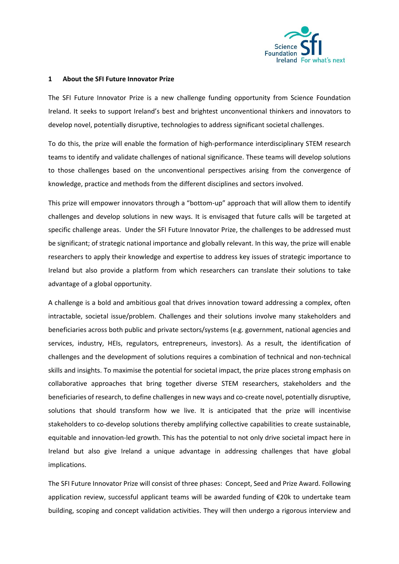

#### <span id="page-3-0"></span>**1 About the SFI Future Innovator Prize**

The SFI Future Innovator Prize is a new challenge funding opportunity from Science Foundation Ireland. It seeks to support Ireland's best and brightest unconventional thinkers and innovators to develop novel, potentially disruptive, technologies to address significant societal challenges.

To do this, the prize will enable the formation of high-performance interdisciplinary STEM research teams to identify and validate challenges of national significance. These teams will develop solutions to those challenges based on the unconventional perspectives arising from the convergence of knowledge, practice and methods from the different disciplines and sectors involved.

This prize will empower innovators through a "bottom-up" approach that will allow them to identify challenges and develop solutions in new ways. It is envisaged that future calls will be targeted at specific challenge areas. Under the SFI Future Innovator Prize, the challenges to be addressed must be significant; of strategic national importance and globally relevant. In this way, the prize will enable researchers to apply their knowledge and expertise to address key issues of strategic importance to Ireland but also provide a platform from which researchers can translate their solutions to take advantage of a global opportunity.

A challenge is a bold and ambitious goal that drives innovation toward addressing a complex, often intractable, societal issue/problem. Challenges and their solutions involve many stakeholders and beneficiaries across both public and private sectors/systems (e.g. government, national agencies and services, industry, HEIs, regulators, entrepreneurs, investors). As a result, the identification of challenges and the development of solutions requires a combination of technical and non-technical skills and insights. To maximise the potential for societal impact, the prize places strong emphasis on collaborative approaches that bring together diverse STEM researchers, stakeholders and the beneficiaries of research, to define challenges in new ways and co-create novel, potentially disruptive, solutions that should transform how we live. It is anticipated that the prize will incentivise stakeholders to co-develop solutions thereby amplifying collective capabilities to create sustainable, equitable and innovation-led growth. This has the potential to not only drive societal impact here in Ireland but also give Ireland a unique advantage in addressing challenges that have global implications.

The SFI Future Innovator Prize will consist of three phases: Concept, Seed and Prize Award. Following application review, successful applicant teams will be awarded funding of €20k to undertake team building, scoping and concept validation activities. They will then undergo a rigorous interview and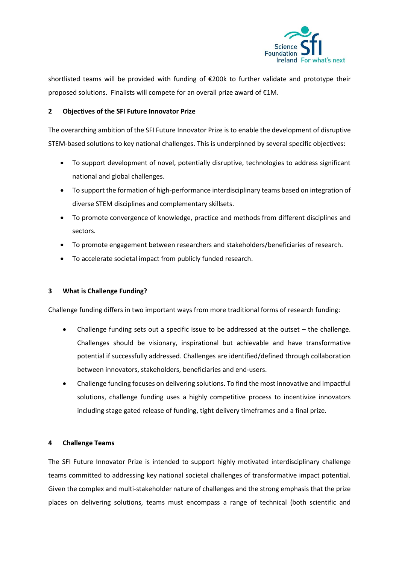

shortlisted teams will be provided with funding of €200k to further validate and prototype their proposed solutions. Finalists will compete for an overall prize award of €1M.

# <span id="page-4-0"></span>**2 Objectives of the SFI Future Innovator Prize**

The overarching ambition of the SFI Future Innovator Prize is to enable the development of disruptive STEM-based solutions to key national challenges. This is underpinned by several specific objectives:

- To support development of novel, potentially disruptive, technologies to address significant national and global challenges.
- To support the formation of high-performance interdisciplinary teams based on integration of diverse STEM disciplines and complementary skillsets.
- To promote convergence of knowledge, practice and methods from different disciplines and sectors.
- To promote engagement between researchers and stakeholders/beneficiaries of research.
- To accelerate societal impact from publicly funded research.

# <span id="page-4-1"></span>**3 What is Challenge Funding?**

Challenge funding differs in two important ways from more traditional forms of research funding:

- Challenge funding sets out a specific issue to be addressed at the outset the challenge. Challenges should be visionary, inspirational but achievable and have transformative potential if successfully addressed. Challenges are identified/defined through collaboration between innovators, stakeholders, beneficiaries and end-users.
- Challenge funding focuses on delivering solutions. To find the most innovative and impactful solutions, challenge funding uses a highly competitive process to incentivize innovators including stage gated release of funding, tight delivery timeframes and a final prize.

# <span id="page-4-2"></span>**4 Challenge Teams**

The SFI Future Innovator Prize is intended to support highly motivated interdisciplinary challenge teams committed to addressing key national societal challenges of transformative impact potential. Given the complex and multi-stakeholder nature of challenges and the strong emphasis that the prize places on delivering solutions, teams must encompass a range of technical (both scientific and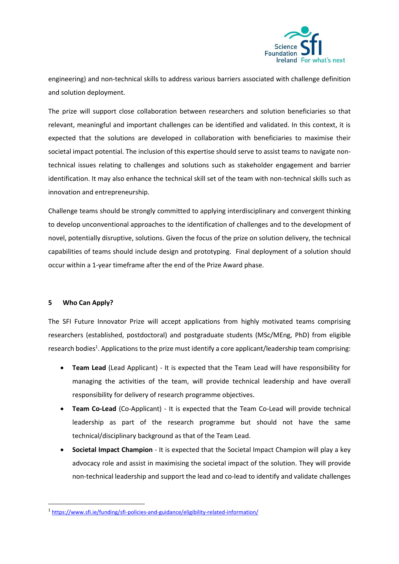

engineering) and non-technical skills to address various barriers associated with challenge definition and solution deployment.

The prize will support close collaboration between researchers and solution beneficiaries so that relevant, meaningful and important challenges can be identified and validated. In this context, it is expected that the solutions are developed in collaboration with beneficiaries to maximise their societal impact potential. The inclusion of this expertise should serve to assist teams to navigate nontechnical issues relating to challenges and solutions such as stakeholder engagement and barrier identification. It may also enhance the technical skill set of the team with non-technical skills such as innovation and entrepreneurship.

Challenge teams should be strongly committed to applying interdisciplinary and convergent thinking to develop unconventional approaches to the identification of challenges and to the development of novel, potentially disruptive, solutions. Given the focus of the prize on solution delivery, the technical capabilities of teams should include design and prototyping. Final deployment of a solution should occur within a 1-year timeframe after the end of the Prize Award phase.

# <span id="page-5-0"></span>**5 Who Can Apply?**

**.** 

The SFI Future Innovator Prize will accept applications from highly motivated teams comprising researchers (established, postdoctoral) and postgraduate students (MSc/MEng, PhD) from eligible research bodies<sup>1</sup>. Applications to the prize must identify a core applicant/leadership team comprising:

- **Team Lead** (Lead Applicant) It is expected that the Team Lead will have responsibility for managing the activities of the team, will provide technical leadership and have overall responsibility for delivery of research programme objectives.
- **Team Co-Lead** (Co-Applicant) It is expected that the Team Co-Lead will provide technical leadership as part of the research programme but should not have the same technical/disciplinary background as that of the Team Lead.
- **Societal Impact Champion**  It is expected that the Societal Impact Champion will play a key advocacy role and assist in maximising the societal impact of the solution. They will provide non-technical leadership and support the lead and co-lead to identify and validate challenges

<sup>1</sup> <https://www.sfi.ie/funding/sfi-policies-and-guidance/eligibility-related-information/>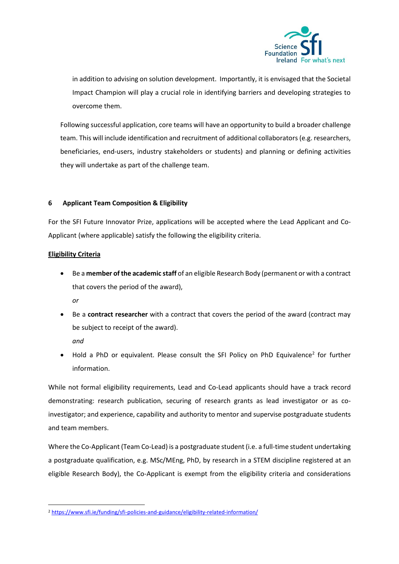

in addition to advising on solution development. Importantly, it is envisaged that the Societal Impact Champion will play a crucial role in identifying barriers and developing strategies to overcome them.

Following successful application, core teams will have an opportunity to build a broader challenge team. This will include identification and recruitment of additional collaborators (e.g. researchers, beneficiaries, end-users, industry stakeholders or students) and planning or defining activities they will undertake as part of the challenge team.

# <span id="page-6-0"></span>**6 Applicant Team Composition & Eligibility**

For the SFI Future Innovator Prize, applications will be accepted where the Lead Applicant and Co-Applicant (where applicable) satisfy the following the eligibility criteria.

# **Eligibility Criteria**

• Be a **member of the academic staff** of an eligible Research Body (permanent or with a contract that covers the period of the award),

*or*

• Be a **contract researcher** with a contract that covers the period of the award (contract may be subject to receipt of the award).

*and*

1

• Hold a PhD or equivalent. Please consult the SFI Policy on PhD Equivalence<sup>2</sup> for further information.

While not formal eligibility requirements, Lead and Co-Lead applicants should have a track record demonstrating: research publication, securing of research grants as lead investigator or as coinvestigator; and experience, capability and authority to mentor and supervise postgraduate students and team members.

Where the Co-Applicant (Team Co-Lead) is a postgraduate student (i.e. a full-time student undertaking a postgraduate qualification, e.g. MSc/MEng, PhD, by research in a STEM discipline registered at an eligible Research Body), the Co-Applicant is exempt from the eligibility criteria and considerations

<sup>&</sup>lt;sup>2</sup> https://www.sfi.ie/funding/sfi-policies-and-guidance/eligibility-related-information/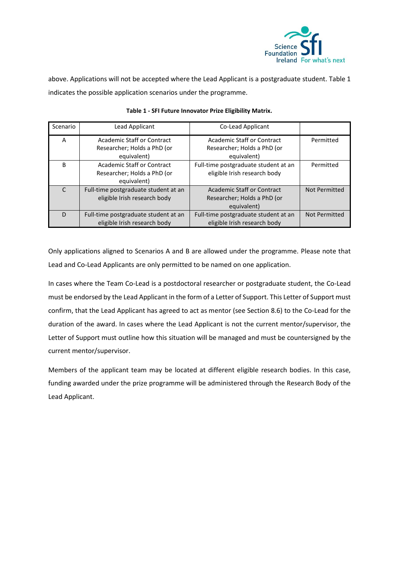

above. Applications will not be accepted where the Lead Applicant is a postgraduate student. Table 1 indicates the possible application scenarios under the programme.

| Scenario     | Lead Applicant                       | Co-Lead Applicant                    |               |
|--------------|--------------------------------------|--------------------------------------|---------------|
| A            | Academic Staff or Contract           | Academic Staff or Contract           | Permitted     |
|              | Researcher; Holds a PhD (or          | Researcher; Holds a PhD (or          |               |
|              | equivalent)                          | equivalent)                          |               |
| <sub>B</sub> | <b>Academic Staff or Contract</b>    | Full-time postgraduate student at an | Permitted     |
|              | Researcher; Holds a PhD (or          | eligible Irish research body         |               |
|              | equivalent)                          |                                      |               |
|              | Full-time postgraduate student at an | Academic Staff or Contract           | Not Permitted |
|              | eligible Irish research body         | Researcher; Holds a PhD (or          |               |
|              |                                      | equivalent)                          |               |
| D            | Full-time postgraduate student at an | Full-time postgraduate student at an | Not Permitted |
|              | eligible Irish research body         | eligible Irish research body         |               |

#### **Table 1 - SFI Future Innovator Prize Eligibility Matrix.**

Only applications aligned to Scenarios A and B are allowed under the programme. Please note that Lead and Co-Lead Applicants are only permitted to be named on one application.

In cases where the Team Co-Lead is a postdoctoral researcher or postgraduate student, the Co-Lead must be endorsed by the Lead Applicant in the form of a Letter of Support. This Letter of Support must confirm, that the Lead Applicant has agreed to act as mentor (see Section 8.6) to the Co-Lead for the duration of the award. In cases where the Lead Applicant is not the current mentor/supervisor, the Letter of Support must outline how this situation will be managed and must be countersigned by the current mentor/supervisor.

Members of the applicant team may be located at different eligible research bodies. In this case, funding awarded under the prize programme will be administered through the Research Body of the Lead Applicant.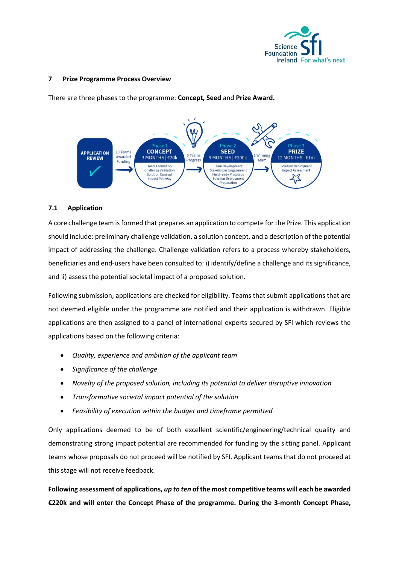

#### <span id="page-8-0"></span>**7 Prize Programme Process Overview**

There are three phases to the programme: **Concept, Seed** and **Prize Award.**



# <span id="page-8-1"></span>**7.1 Application**

A core challenge team is formed that prepares an application to compete for the Prize. This application should include: preliminary challenge validation, a solution concept, and a description of the potential impact of addressing the challenge. Challenge validation refers to a process whereby stakeholders, beneficiaries and end-users have been consulted to: i) identify/define a challenge and its significance, and ii) assess the potential societal impact of a proposed solution.

Following submission, applications are checked for eligibility. Teams that submit applications that are not deemed eligible under the programme are notified and their application is withdrawn. Eligible applications are then assigned to a panel of international experts secured by SFI which reviews the applications based on the following criteria:

- *Quality, experience and ambition of the applicant team*
- *Significance of the challenge*
- *Novelty of the proposed solution, including its potential to deliver disruptive innovation*
- *Transformative societal impact potential of the solution*
- *Feasibility of execution within the budget and timeframe permitted*

Only applications deemed to be of both excellent scientific/engineering/technical quality and demonstrating strong impact potential are recommended for funding by the sitting panel. Applicant teams whose proposals do not proceed will be notified by SFI. Applicant teams that do not proceed at this stage will not receive feedback.

**Following assessment of applications,** *up to ten* **of the most competitive teams will each be awarded €220k and will enter the Concept Phase of the programme. During the 3-month Concept Phase,**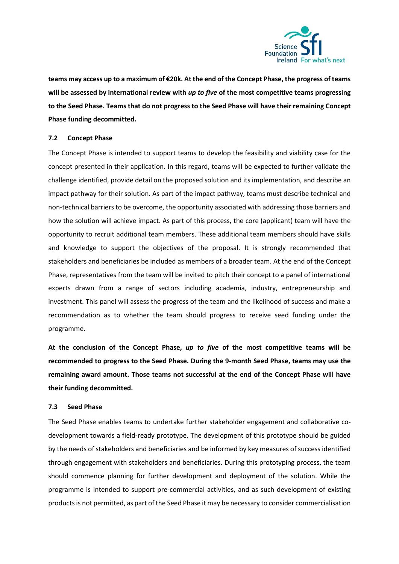

**teams may access up to a maximum of €20k. At the end of the Concept Phase, the progress of teams will be assessed by international review with** *up to five* **of the most competitive teams progressing to the Seed Phase. Teams that do not progress to the Seed Phase will have their remaining Concept Phase funding decommitted.**

#### <span id="page-9-0"></span>**7.2 Concept Phase**

The Concept Phase is intended to support teams to develop the feasibility and viability case for the concept presented in their application. In this regard, teams will be expected to further validate the challenge identified, provide detail on the proposed solution and its implementation, and describe an impact pathway for their solution. As part of the impact pathway, teams must describe technical and non-technical barriers to be overcome, the opportunity associated with addressing those barriers and how the solution will achieve impact. As part of this process, the core (applicant) team will have the opportunity to recruit additional team members. These additional team members should have skills and knowledge to support the objectives of the proposal. It is strongly recommended that stakeholders and beneficiaries be included as members of a broader team. At the end of the Concept Phase, representatives from the team will be invited to pitch their concept to a panel of international experts drawn from a range of sectors including academia, industry, entrepreneurship and investment. This panel will assess the progress of the team and the likelihood of success and make a recommendation as to whether the team should progress to receive seed funding under the programme.

**At the conclusion of the Concept Phase,** *up to five* **of the most competitive teams will be recommended to progress to the Seed Phase. During the 9-month Seed Phase, teams may use the remaining award amount. Those teams not successful at the end of the Concept Phase will have their funding decommitted.**

#### <span id="page-9-1"></span>**7.3 Seed Phase**

The Seed Phase enables teams to undertake further stakeholder engagement and collaborative codevelopment towards a field-ready prototype. The development of this prototype should be guided by the needs of stakeholders and beneficiaries and be informed by key measures of success identified through engagement with stakeholders and beneficiaries. During this prototyping process, the team should commence planning for further development and deployment of the solution. While the programme is intended to support pre-commercial activities, and as such development of existing products is not permitted, as part of the Seed Phase it may be necessary to consider commercialisation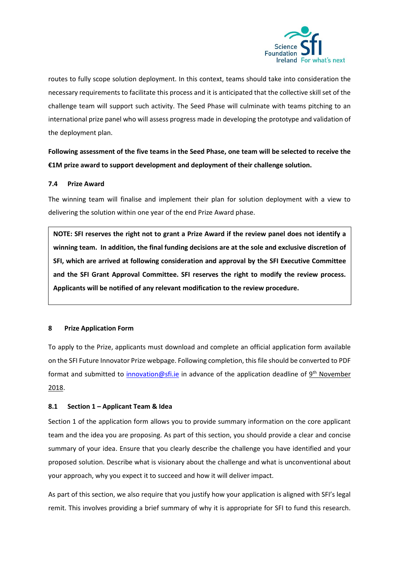

routes to fully scope solution deployment. In this context, teams should take into consideration the necessary requirements to facilitate this process and it is anticipated that the collective skill set of the challenge team will support such activity. The Seed Phase will culminate with teams pitching to an international prize panel who will assess progress made in developing the prototype and validation of the deployment plan.

**Following assessment of the five teams in the Seed Phase, one team will be selected to receive the €1M prize award to support development and deployment of their challenge solution.**

# <span id="page-10-0"></span>**7.4 Prize Award**

The winning team will finalise and implement their plan for solution deployment with a view to delivering the solution within one year of the end Prize Award phase.

**NOTE: SFI reserves the right not to grant a Prize Award if the review panel does not identify a winning team. In addition, the final funding decisions are at the sole and exclusive discretion of SFI, which are arrived at following consideration and approval by the SFI Executive Committee and the SFI Grant Approval Committee. SFI reserves the right to modify the review process. Applicants will be notified of any relevant modification to the review procedure.**

# <span id="page-10-1"></span>**8 Prize Application Form**

To apply to the Prize, applicants must download and complete an official application form available on the SFI Future Innovator Prize webpage. Following completion, this file should be converted to PDF format and submitted to *innovation@sfi.ie* in advance of the application deadline of 9<sup>th</sup> November 2018.

# <span id="page-10-2"></span>**8.1 Section 1 – Applicant Team & Idea**

Section 1 of the application form allows you to provide summary information on the core applicant team and the idea you are proposing. As part of this section, you should provide a clear and concise summary of your idea. Ensure that you clearly describe the challenge you have identified and your proposed solution. Describe what is visionary about the challenge and what is unconventional about your approach, why you expect it to succeed and how it will deliver impact.

As part of this section, we also require that you justify how your application is aligned with SFI's legal remit. This involves providing a brief summary of why it is appropriate for SFI to fund this research.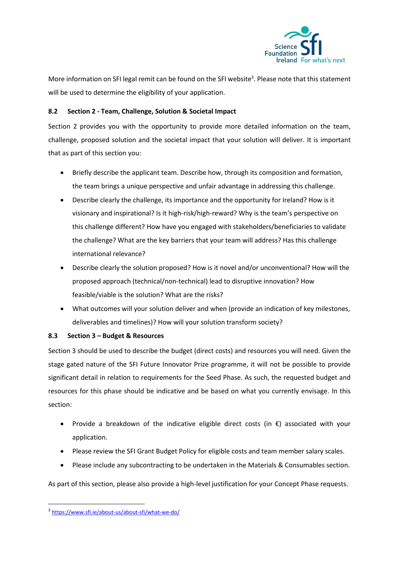

More information on SFI legal remit can be found on the SFI website<sup>3</sup>. Please note that this statement will be used to determine the eligibility of your application.

# <span id="page-11-0"></span>**8.2 Section 2 - Team, Challenge, Solution & Societal Impact**

Section 2 provides you with the opportunity to provide more detailed information on the team, challenge, proposed solution and the societal impact that your solution will deliver. It is important that as part of this section you:

- Briefly describe the applicant team. Describe how, through its composition and formation, the team brings a unique perspective and unfair advantage in addressing this challenge.
- Describe clearly the challenge, its importance and the opportunity for Ireland? How is it visionary and inspirational? Is it high-risk/high-reward? Why is the team's perspective on this challenge different? How have you engaged with stakeholders/beneficiaries to validate the challenge? What are the key barriers that your team will address? Has this challenge international relevance?
- Describe clearly the solution proposed? How is it novel and/or unconventional? How will the proposed approach (technical/non-technical) lead to disruptive innovation? How feasible/viable is the solution? What are the risks?
- What outcomes will your solution deliver and when (provide an indication of key milestones, deliverables and timelines)? How will your solution transform society?

# <span id="page-11-1"></span>**8.3 Section 3 – Budget & Resources**

Section 3 should be used to describe the budget (direct costs) and resources you will need. Given the stage gated nature of the SFI Future Innovator Prize programme, it will not be possible to provide significant detail in relation to requirements for the Seed Phase. As such, the requested budget and resources for this phase should be indicative and be based on what you currently envisage. In this section:

- Provide a breakdown of the indicative eligible direct costs (in €) associated with your application.
- Please review the SFI Grant Budget Policy for eligible costs and team member salary scales.
- Please include any subcontracting to be undertaken in the Materials & Consumables section.

As part of this section, please also provide a high-level justification for your Concept Phase requests.

**.** 

<sup>3</sup> <https://www.sfi.ie/about-us/about-sfi/what-we-do/>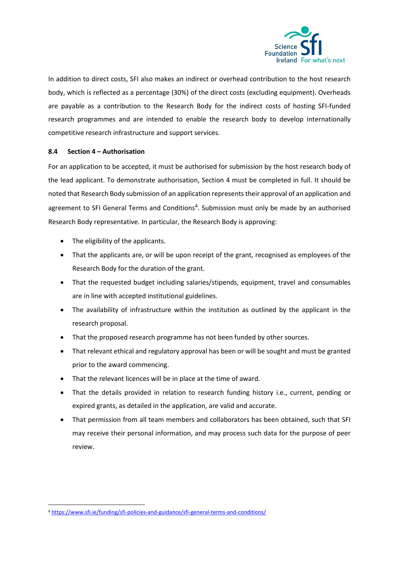

In addition to direct costs, SFI also makes an indirect or overhead contribution to the host research body, which is reflected as a percentage (30%) of the direct costs (excluding equipment). Overheads are payable as a contribution to the Research Body for the indirect costs of hosting SFI-funded research programmes and are intended to enable the research body to develop internationally competitive research infrastructure and support services.

# <span id="page-12-0"></span>**8.4 Section 4 – Authorisation**

For an application to be accepted, it must be authorised for submission by the host research body of the lead applicant. To demonstrate authorisation, Section 4 must be completed in full. It should be noted that Research Body submission of an application represents their approval of an application and agreement to SFI General Terms and Conditions<sup>4</sup>. Submission must only be made by an authorised Research Body representative. In particular, the Research Body is approving:

- The eligibility of the applicants.
- That the applicants are, or will be upon receipt of the grant, recognised as employees of the Research Body for the duration of the grant.
- That the requested budget including salaries/stipends, equipment, travel and consumables are in line with accepted institutional guidelines.
- The availability of infrastructure within the institution as outlined by the applicant in the research proposal.
- That the proposed research programme has not been funded by other sources.
- That relevant ethical and regulatory approval has been or will be sought and must be granted prior to the award commencing.
- That the relevant licences will be in place at the time of award.
- That the details provided in relation to research funding history i.e., current, pending or expired grants, as detailed in the application, are valid and accurate.
- That permission from all team members and collaborators has been obtained, such that SFI may receive their personal information, and may process such data for the purpose of peer review.

1

<sup>4</sup> <https://www.sfi.ie/funding/sfi-policies-and-guidance/sfi-general-terms-and-conditions/>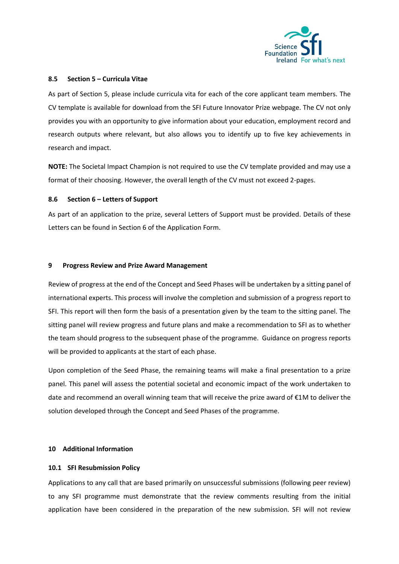

#### <span id="page-13-0"></span>**8.5 Section 5 – Curricula Vitae**

As part of Section 5, please include curricula vita for each of the core applicant team members. The CV template is available for download from the SFI Future Innovator Prize webpage. The CV not only provides you with an opportunity to give information about your education, employment record and research outputs where relevant, but also allows you to identify up to five key achievements in research and impact.

**NOTE:** The Societal Impact Champion is not required to use the CV template provided and may use a format of their choosing. However, the overall length of the CV must not exceed 2-pages.

#### <span id="page-13-1"></span>**8.6 Section 6 – Letters of Support**

As part of an application to the prize, several Letters of Support must be provided. Details of these Letters can be found in Section 6 of the Application Form.

#### <span id="page-13-2"></span>**9 Progress Review and Prize Award Management**

Review of progress at the end of the Concept and Seed Phases will be undertaken by a sitting panel of international experts. This process will involve the completion and submission of a progress report to SFI. This report will then form the basis of a presentation given by the team to the sitting panel. The sitting panel will review progress and future plans and make a recommendation to SFI as to whether the team should progress to the subsequent phase of the programme. Guidance on progress reports will be provided to applicants at the start of each phase.

Upon completion of the Seed Phase, the remaining teams will make a final presentation to a prize panel. This panel will assess the potential societal and economic impact of the work undertaken to date and recommend an overall winning team that will receive the prize award of  $\epsilon$ 1M to deliver the solution developed through the Concept and Seed Phases of the programme.

# <span id="page-13-3"></span>**10 Additional Information**

# <span id="page-13-4"></span>**10.1 SFI Resubmission Policy**

Applications to any call that are based primarily on unsuccessful submissions (following peer review) to any SFI programme must demonstrate that the review comments resulting from the initial application have been considered in the preparation of the new submission. SFI will not review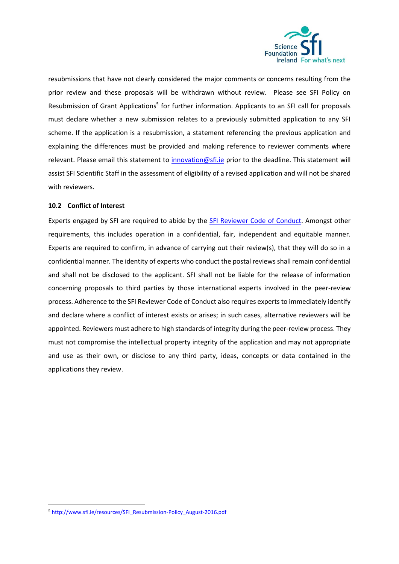

resubmissions that have not clearly considered the major comments or concerns resulting from the prior review and these proposals will be withdrawn without review. Please see SFI Policy on Resubmission of Grant Applications<sup>5</sup> for further information. Applicants to an SFI call for proposals must declare whether a new submission relates to a previously submitted application to any SFI scheme. If the application is a resubmission, a statement referencing the previous application and explaining the differences must be provided and making reference to reviewer comments where relevant. Please email this statement to [innovation@sfi.ie](mailto:innovation@sfi.ie) prior to the deadline. This statement will assist SFI Scientific Staff in the assessment of eligibility of a revised application and will not be shared with reviewers.

# <span id="page-14-0"></span>**10.2 Conflict of Interest**

Experts engaged by SFI are required to abide by the [SFI Reviewer Code of Conduct.](http://www.sfi.ie/resources/Reviewer-Code-of-Conduct_March-2017.pdf) Amongst other requirements, this includes operation in a confidential, fair, independent and equitable manner. Experts are required to confirm, in advance of carrying out their review(s), that they will do so in a confidential manner. The identity of experts who conduct the postal reviews shall remain confidential and shall not be disclosed to the applicant. SFI shall not be liable for the release of information concerning proposals to third parties by those international experts involved in the peer-review process. Adherence to the SFI Reviewer Code of Conduct also requires experts to immediately identify and declare where a conflict of interest exists or arises; in such cases, alternative reviewers will be appointed. Reviewers must adhere to high standards of integrity during the peer-review process. They must not compromise the intellectual property integrity of the application and may not appropriate and use as their own, or disclose to any third party, ideas, concepts or data contained in the applications they review.

1

<sup>5</sup> [http://www.sfi.ie/resources/SFI\\_Resubmission-Policy\\_August-2016.pdf](http://www.sfi.ie/resources/SFI_Resubmission-Policy_August-2016.pdf)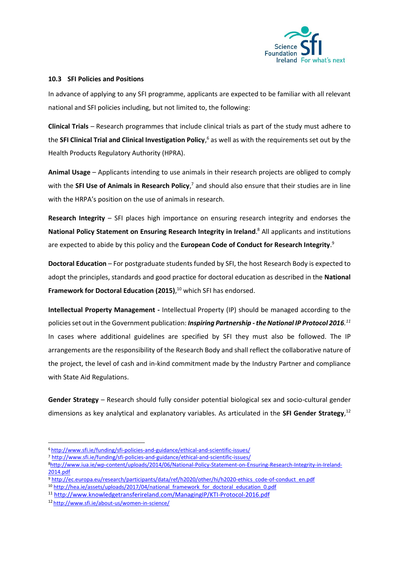

#### <span id="page-15-0"></span>**10.3 SFI Policies and Positions**

In advance of applying to any SFI programme, applicants are expected to be familiar with all relevant national and SFI policies including, but not limited to, the following:

**Clinical Trials** *–* Research programmes that include clinical trials as part of the study must adhere to the **SFI Clinical Trial and Clinical Investigation Policy**, <sup>6</sup> as well as with the requirements set out by the Health Products Regulatory Authority (HPRA).

**Animal Usage** – Applicants intending to use animals in their research projects are obliged to comply with the **SFI Use of Animals in Research Policy**,<sup>7</sup> and should also ensure that their studies are in line with the HRPA's position on the use of animals in research.

**Research Integrity** – SFI places high importance on ensuring research integrity and endorses the **National Policy Statement on Ensuring Research Integrity in Ireland**. <sup>8</sup> All applicants and institutions are expected to abide by this policy and the **European Code of Conduct for Research Integrity**. 9

**Doctoral Education** – For postgraduate students funded by SFI, the host Research Body is expected to adopt the principles, standards and good practice for doctoral education as described in the **National Framework for Doctoral Education (2015)**, <sup>10</sup> which SFI has endorsed.

**Intellectual Property Management -** Intellectual Property (IP) should be managed according to the policies set out in the Government publication: *Inspiring Partnership - the National IP Protocol 2016.<sup>11</sup>* In cases where additional guidelines are specified by SFI they must also be followed. The IP arrangements are the responsibility of the Research Body and shall reflect the collaborative nature of the project, the level of cash and in-kind commitment made by the Industry Partner and compliance with State Aid Regulations.

**Gender Strategy** *–* Research should fully consider potential biological sex and socio-cultural gender dimensions as key analytical and explanatory variables. As articulated in the **SFI Gender Strategy**, 12

<sup>10</sup> [http://hea.ie/assets/uploads/2017/04/national\\_framework\\_for\\_doctoral\\_education\\_0.pdf](http://hea.ie/assets/uploads/2017/04/national_framework_for_doctoral_education_0.pdf)

**<sup>.</sup>** <sup>6</sup> <http://www.sfi.ie/funding/sfi-policies-and-guidance/ethical-and-scientific-issues/>

<sup>7</sup> <http://www.sfi.ie/funding/sfi-policies-and-guidance/ethical-and-scientific-issues/>

<sup>8</sup>[http://www.iua.ie/wp-content/uploads/2014/06/National-Policy-Statement-on-Ensuring-Research-Integrity-in-Ireland-](http://www.iua.ie/wp-content/uploads/2014/06/National-Policy-Statement-on-Ensuring-Research-Integrity-in-Ireland-2014.pdf)[2014.pdf](http://www.iua.ie/wp-content/uploads/2014/06/National-Policy-Statement-on-Ensuring-Research-Integrity-in-Ireland-2014.pdf)

<sup>9</sup> [http://ec.europa.eu/research/participants/data/ref/h2020/other/hi/h2020-ethics\\_code-of-conduct\\_en.pdf](http://ec.europa.eu/research/participants/data/ref/h2020/other/hi/h2020-ethics_code-of-conduct_en.pdf)

<sup>11</sup> <http://www.knowledgetransferireland.com/ManagingIP/KTI-Protocol-2016.pdf>

<sup>12</sup> <http://www.sfi.ie/about-us/women-in-science/>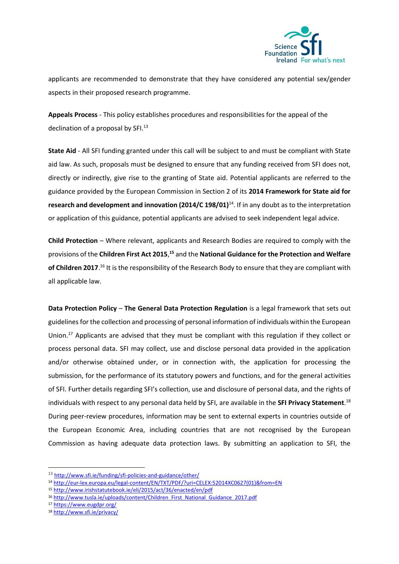

applicants are recommended to demonstrate that they have considered any potential sex/gender aspects in their proposed research programme.

**Appeals Process** - This policy establishes procedures and responsibilities for the appeal of the declination of a proposal by SFI.<sup>13</sup>

**State Aid** - All SFI funding granted under this call will be subject to and must be compliant with State aid law. As such, proposals must be designed to ensure that any funding received from SFI does not, directly or indirectly, give rise to the granting of State aid. Potential applicants are referred to the guidance provided by the European Commission in Section 2 of its **2014 Framework for State aid for research and development and innovation (2014/C 198/01)**<sup>14</sup>. If in any doubt as to the interpretation or application of this guidance, potential applicants are advised to seek independent legal advice.

**Child Protection** – Where relevant, applicants and Research Bodies are required to comply with the provisions of the **Children First Act 2015**, **<sup>15</sup>** and the **National Guidance for the Protection and Welfare**  of Children 2017.<sup>16</sup> It is the responsibility of the Research Body to ensure that they are compliant with all applicable law.

**Data Protection Policy** – **The General Data Protection Regulation** is a legal framework that sets out guidelines for the collection and processing of personal information of individuals within the European Union.<sup>17</sup> Applicants are advised that they must be compliant with this regulation if they collect or process personal data. SFI may collect, use and disclose personal data provided in the application and/or otherwise obtained under, or in connection with, the application for processing the submission, for the performance of its statutory powers and functions, and for the general activities of SFI. Further details regarding SFI's collection, use and disclosure of personal data, and the rights of individuals with respect to any personal data held by SFI, are available in the **SFI Privacy Statement**. 18 During peer-review procedures, information may be sent to external experts in countries outside of the European Economic Area, including countries that are not recognised by the European Commission as having adequate data protection laws. By submitting an application to SFI, the

**.** 

<sup>13</sup> <http://www.sfi.ie/funding/sfi-policies-and-guidance/other/>

<sup>14</sup> [http://eur-lex.europa.eu/legal-content/EN/TXT/PDF/?uri=CELEX:52014XC0627\(01\)&from=EN](http://eur-lex.europa.eu/legal-content/EN/TXT/PDF/?uri=CELEX:52014XC0627(01)&from=EN)

<sup>15</sup> <http://www.irishstatutebook.ie/eli/2015/act/36/enacted/en/pdf>

<sup>16</sup> [http://www.tusla.ie/uploads/content/Children\\_First\\_National\\_Guidance\\_2017.pdf](http://www.tusla.ie/uploads/content/Children_First_National_Guidance_2017.pdf)

<sup>17</sup> <https://www.eugdpr.org/>

<sup>18</sup> <http://www.sfi.ie/privacy/>